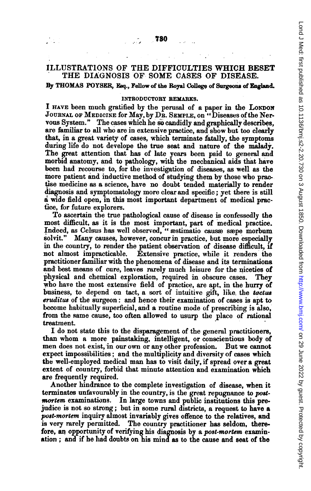# ILLUSTRATIONS OF THE DIFFICULTIES WHICH BESET THE DIAGNOSIS OF SOME CASES OF DISEASE.

By THOMAS POYSER, Esq., Fellow of the Royal College of Surgeons of England.

#### INTRODUCTORY REMARKS.

I HAVE been much gratified by the perusal of a paper in the LONDON JOURNAL OF MEDICINE for May, by DR. SEMPLE, on "Diseases of the Nervous System." The cases which he so cadidly and graphically describes, are fiamiliar to all who are in extensive practice, and show but too clearly that, in a great variety of cases, which terminate fatally, the symptoms during life do not develope the true seat and nature of the malady. The great attention that has of late years been paid to general and morbid anatomy, and to pathology, with the meebanical aids that have been had recourse to, for the investigation of diseases, as well as the more patient and inductive method of studying them by those who practise medicine as a science, have no doubt tended materially to render diagnosis and symptomatology more clear and specific; yet there is still a wide field open, in this most important department of medical practice, for future explorers.

To ascertain the true pathological cause of disease is confessedly the most difficult, as it is the most important, part of medical practice. Indeed, as Celsus has well observed, " estimatio cause sepe morbum Many causes, however, concur in practice, but more especially in the country, to render the patient observation of disease difficult, if Extensive practice, while it renders the practitioner familiar with the phenomena of disease and its termination and best means of cure, leaves rarely much leisure for the niceties of physical and chemical exploration, required in obscure cases. They who have the most extensive field of practice, are apt, in the hurry of business, to depend on tact, a sort of intuitive gift, like. the tactus eruditus of the surgeon: and hence their examination of cases is apt to become habitually superficial, and a routine mode of prescribing is also, from the same cause, too often allowed to usurp the place of rational treatment.

I do not state this to the disparagement of the general practitioners, than whom a more painstaking, intelligent, or conscientious body of men does not exist, in our own or any other profession. But we cannot expect impossibilities; and the multiplicity and diversity of cases which the well-employed medical man has to visit daily, if spread over a great extent of country, forbid that minute attention and examination which are frequently required.

Another hindrance to the complete investigation of disease, when it terminates unfavourably in the country, is the great repugnance to postmortem examinations. In large towns and public institutions this prejudice is not so strong; but in some rural districts, a request to have a post-mortem inquiry almost invariably gives offence to the relatives, and<br>is very rarely permitted. The country practitioner has seldom, there-The country practitioner has seldom, therefore, an opportunity of verifying his diagnosis by a post-mortem examination; and if he lhad doubts on his mind as to the cause and seat of the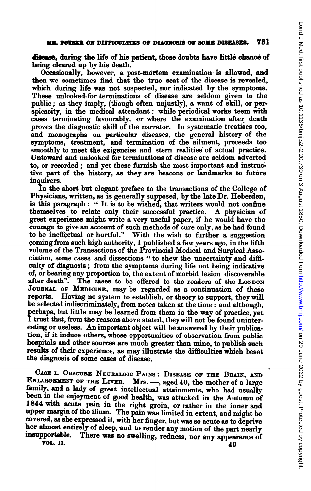disease, during the life of his patient, those doubts have little chance of being cleared up by his death.

Occasionally, however, a post-mortem examination is allowed, and then we sometimes find that the true seat of the disease is revealed, which during life was not suspected, nor indicated by the symptoms. These unlooked-for terminations of disease are seldom given to the public; as they imply, (though often unjustly), a want of skill, or perspicacity, in the medical attendant: while periodical works teem with cases terminating favourably, or where the examination after death proves the diagnostic skill of the narrator. In systematic treatises too, and monographs on particular diseases, the general history of the symptoms, treatment, and termination of the ailment, proceeds too smoothly to meet the exigencies and stern realities of actual practice. Untoward and unlooked for terminations of disease are seldom adverted to, or recorded; and yet these furnish the most important and instructive part of the history, as they are beacons or landmarks to future inquirers.

In the short but elegant preface to the transactions of the College of Physicians, written, as is generally supposed, by the late Dr. Heberden, is this paragraph: "It is to be wished, that writers would not confine themselves to relate only their successfil practice. A physician of great experience might write a very useful paper, if he would have the courage to give an account of such methods of cure only, as he had found to be ineffectual or hurtful." With the wish to further a suggestion coming from such high authority, I published a few years ago, in the fifth volume of the Transactions of the Provincial Medical and Surgical Association, some cases and dissections " to shew the uncertainty and difficulty of diagnosis; from the symptoms during life not being indicative of, or bearing any proportion to, the extent of morbid lesion discoverable The cases to be offered to the readers of the LONDON JOURNAL OF MEDICINE, may be regarded as a continuation of these reports. Having no system to establish, or theory to support, they will be selected indiscriminately, from notes taken at the time: and although, perhaps, but little may be learned from them in the way of practice, yet I trust that, from the reasons above stated, they will not be found uninteresting or useless. An important object will be answered by their publication, if it induce others, whose opportunities of observation from public hospitals and other sources are much greater than mine, to publish such results of their experience, as may illustrate the difficulties which beset the diagnosis of some cases of disease.

CASE 1. OBSCURE NEURALGIC PAINS: DISEASE OF THE BRAIN, AND ENLARGEMENT OF THE LIVER. Mrs. --- aged 40, the mother of a large  $Mrs. -$ , aged 40, the mother of a large family, and a lady of great intellectual attainments, who had usually been in the enjoyment of good health, was attacked in the Autumn of 1844 with acute Pain in the right groin, or rather in the inner and upper margin of the ilium. The pain was limited in extent, and might be covered, as she expressed it, with her finger, but was so acute as to deprive her almost entirely of sleep, and to render any motion of the part nearly<br>insupportable. There was no swelling, redness, nor any appearance of There was no swelling, redness, nor any appearance of

VOL. 11.  $49$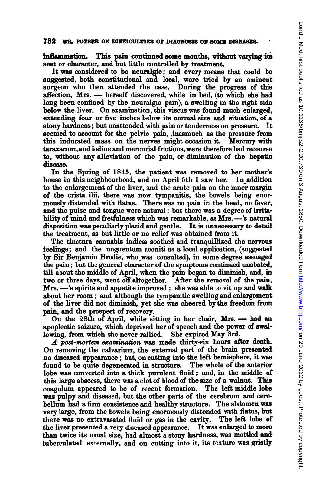# 782 vr. poyser on difficulties of diagnosis of some diseases.

inflammation. This pain continued some months, without varying its seat or character, and but little controlled by treatment.

It was considered to be neuralgic; and every means that could be suggested, both constitutional and local, were tried by an eminent surgeon who then attended the case. During the progress of this affection,  $Mrs.$  — herself discovered, while in bed, (to which she had long been confined by the neuralgic pain), a swelling in the right side below the liver. On examination, this viscus was found much enlarged, extending four or five inches below its normal size and situation, of a stony hardness; but unattended with pain or tenderness on pressure. seemed to account for the pelvic pain, inasmuch as the pressure from this indurated mass on the nerves might occasion it. Mercury with taraxacum, and iodine and mercurial frictions, were therefore had recourse to, without any alleviation of the pain, or diminution of the hepatic disease.

In the Spring of 1845, the patient was removed to her mother's house in this neighbourhood, and on April 6th I saw her. In addition to the enlargement of the liver, and the acute pain on the inner margin of the crista ilii, there was now tympanitis, the bowels being enormously distended with flatus. There was no pain in the head, no fever, and the pulse and tongue were natural: but there was a degree of irritability of mind and fretfulness which was remarkable, as Mrs. - 's natural disposition was peculiarly placid and gentle. It is unnecessary to detail the treatment, as but little or no relief was obtained from it.

The tinctura cannabis indica soothed and tranquillized the nervous feelings; and the unguentum aconiti as a local application, (suggested by Sir Benjamin Brodie, who was consulted), in some degree assuaged the pain; but the general character of the symptoms continued unabated, till about the middle of April, when the pain began to diminish, and, in two or three days, went off altogether. After the removal of the pain, Mrs. - 's spirits and appetite improved; she was able to sit up and walk about her room; and although the tympanitic swelling and enlargement of the liver did not diminish, yet she was cheered by the freedom from pain, and the prospect of recovery.

On the  $28th$  of April, while sitting in her chair, Mrs. - had an apoplectic seizure, which deprived her of speech and the power of swallowing, from which she never rallied. She expired May 3rd.

A post-mortem examination was made thirty-six hours after death. On removing the calvarium, the external part of the brain presented no diseased appearance; but, on catting into the left hemisphere, it was found to be quite degenerated in structure. The whole of the anterior lobe was converted into a thick purulent fluid; and, in the middle of this large abscess, there was a clot of blood of the size of a walnut. This coagulum appeared to be of recent formation. The left middle lobe was pulpy and diseased, but the otber parts of the cerebrum and cerebellum had a firm consistence and healthy structure. The abdomen was very large, from the bowels being enormously distended with flatus, but there was no extravasated fluid or gas in the cavity. The left lobe of the liver presented a very diseased appearance. It was enlarged to more than twice its usual size, had almost a stony hardness, was mottled and tuberculated externally, and on cutting into it, its texture was gristly